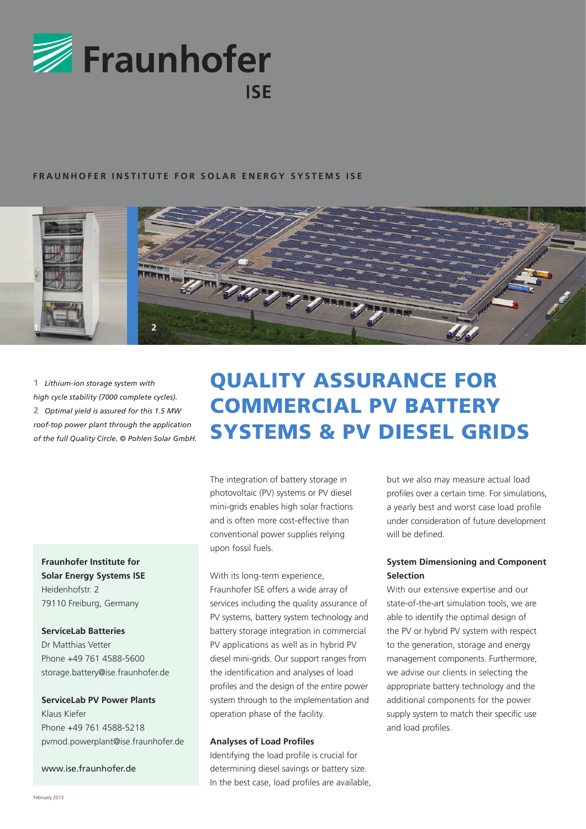

### **FRAUNHOFER INSTITUTE FOR SOLAR ENERGY SYSTEMS ISE**



**1** *Lithium-ion storage system with high cycle stability (7000 complete cycles).* **2** *Optimal yield is assured for this 1.5 MW roof-top power plant through the application of the full Quality Circle. © Pohlen Solar GmbH.*

# **Fraunhofer Institute for Solar Energy Systems ISE** Heidenhofstr. 2 79110 Freiburg, Germany

# **ServiceLab Batteries**

Dr Matthias Vetter Phone +49 761 4588-5600 storage.battery@ise.fraunhofer.de

#### **ServiceLab PV Power Plants**

Klaus Kiefer Phone +49 761 4588-5218 pvmod.powerplant@ise.fraunhofer.de

www.ise.fraunhofer.de

# QUALITY ASSURANCE for COMMERCIAL PV BATTERY SYSTEMS & PV Diesel GRIDS

The integration of battery storage in photovoltaic (PV) systems or PV diesel mini-grids enables high solar fractions and is often more cost-effective than conventional power supplies relying upon fossil fuels.

# With its long-term experience, Fraunhofer ISE offers a wide array of services including the quality assurance of PV systems, battery system technology and battery storage integration in commercial PV applications as well as in hybrid PV diesel mini-grids. Our support ranges from the identification and analyses of load profiles and the design of the entire power system through to the implementation and operation phase of the facility.

#### **Analyses of Load Profiles**

Identifying the load profile is crucial for determining diesel savings or battery size. In the best case, load profiles are available,

but we also may measure actual load profiles over a certain time. For simulations, a yearly best and worst case load profile under consideration of future development will be defined.

## **System Dimensioning and Component Selection**

With our extensive expertise and our state-of-the-art simulation tools, we are able to identify the optimal design of the PV or hybrid PV system with respect to the generation, storage and energy management components. Furthermore, we advise our clients in selecting the appropriate battery technology and the additional components for the power supply system to match their specific use and load profiles.